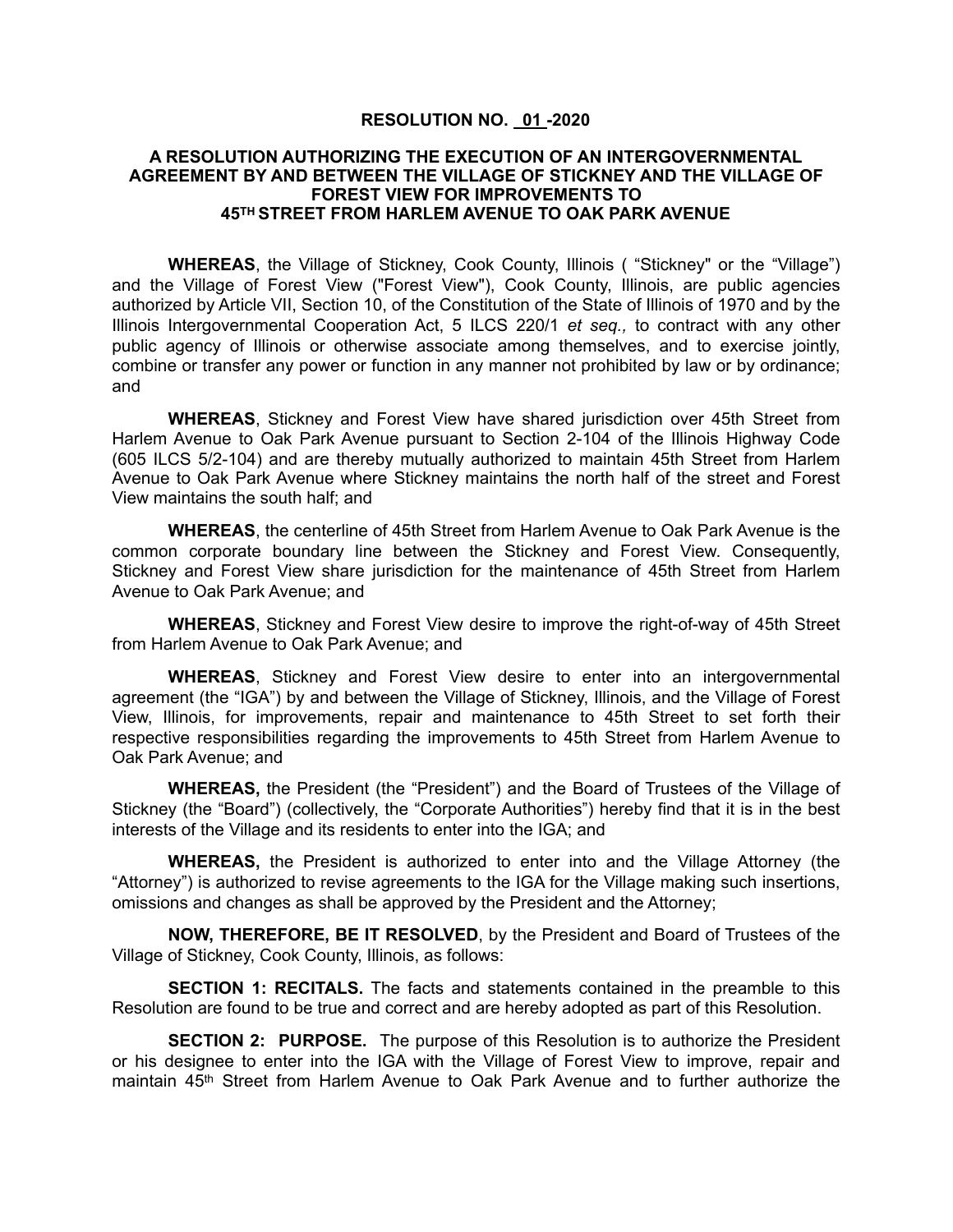## **RESOLUTION NO. 01 -2020**

## **A RESOLUTION AUTHORIZING THE EXECUTION OF AN INTERGOVERNMENTAL AGREEMENT BY AND BETWEEN THE VILLAGE OF STICKNEY AND THE VILLAGE OF FOREST VIEW FOR IMPROVEMENTS TO 45TH STREET FROM HARLEM AVENUE TO OAK PARK AVENUE**

**WHEREAS**, the Village of Stickney, Cook County, Illinois ( "Stickney" or the "Village") and the Village of Forest View ("Forest View"), Cook County, Illinois, are public agencies authorized by Article VII, Section 10, of the Constitution of the State of Illinois of 1970 and by the Illinois Intergovernmental Cooperation Act, 5 ILCS 220/1 *et seq.,* to contract with any other public agency of Illinois or otherwise associate among themselves, and to exercise jointly, combine or transfer any power or function in any manner not prohibited by law or by ordinance; and

**WHEREAS**, Stickney and Forest View have shared jurisdiction over 45th Street from Harlem Avenue to Oak Park Avenue pursuant to Section 2-104 of the Illinois Highway Code (605 ILCS 5/2-104) and are thereby mutually authorized to maintain 45th Street from Harlem Avenue to Oak Park Avenue where Stickney maintains the north half of the street and Forest View maintains the south half; and

**WHEREAS**, the centerline of 45th Street from Harlem Avenue to Oak Park Avenue is the common corporate boundary line between the Stickney and Forest View. Consequently, Stickney and Forest View share jurisdiction for the maintenance of 45th Street from Harlem Avenue to Oak Park Avenue; and

**WHEREAS**, Stickney and Forest View desire to improve the right-of-way of 45th Street from Harlem Avenue to Oak Park Avenue; and

**WHEREAS**, Stickney and Forest View desire to enter into an intergovernmental agreement (the "IGA") by and between the Village of Stickney, Illinois, and the Village of Forest View, Illinois, for improvements, repair and maintenance to 45th Street to set forth their respective responsibilities regarding the improvements to 45th Street from Harlem Avenue to Oak Park Avenue; and

**WHEREAS,** the President (the "President") and the Board of Trustees of the Village of Stickney (the "Board") (collectively, the "Corporate Authorities") hereby find that it is in the best interests of the Village and its residents to enter into the IGA; and

**WHEREAS,** the President is authorized to enter into and the Village Attorney (the "Attorney") is authorized to revise agreements to the IGA for the Village making such insertions, omissions and changes as shall be approved by the President and the Attorney;

**NOW, THEREFORE, BE IT RESOLVED**, by the President and Board of Trustees of the Village of Stickney, Cook County, Illinois, as follows:

**SECTION 1: RECITALS.** The facts and statements contained in the preamble to this Resolution are found to be true and correct and are hereby adopted as part of this Resolution.

**SECTION 2: PURPOSE.** The purpose of this Resolution is to authorize the President or his designee to enter into the IGA with the Village of Forest View to improve, repair and maintain 45th Street from Harlem Avenue to Oak Park Avenue and to further authorize the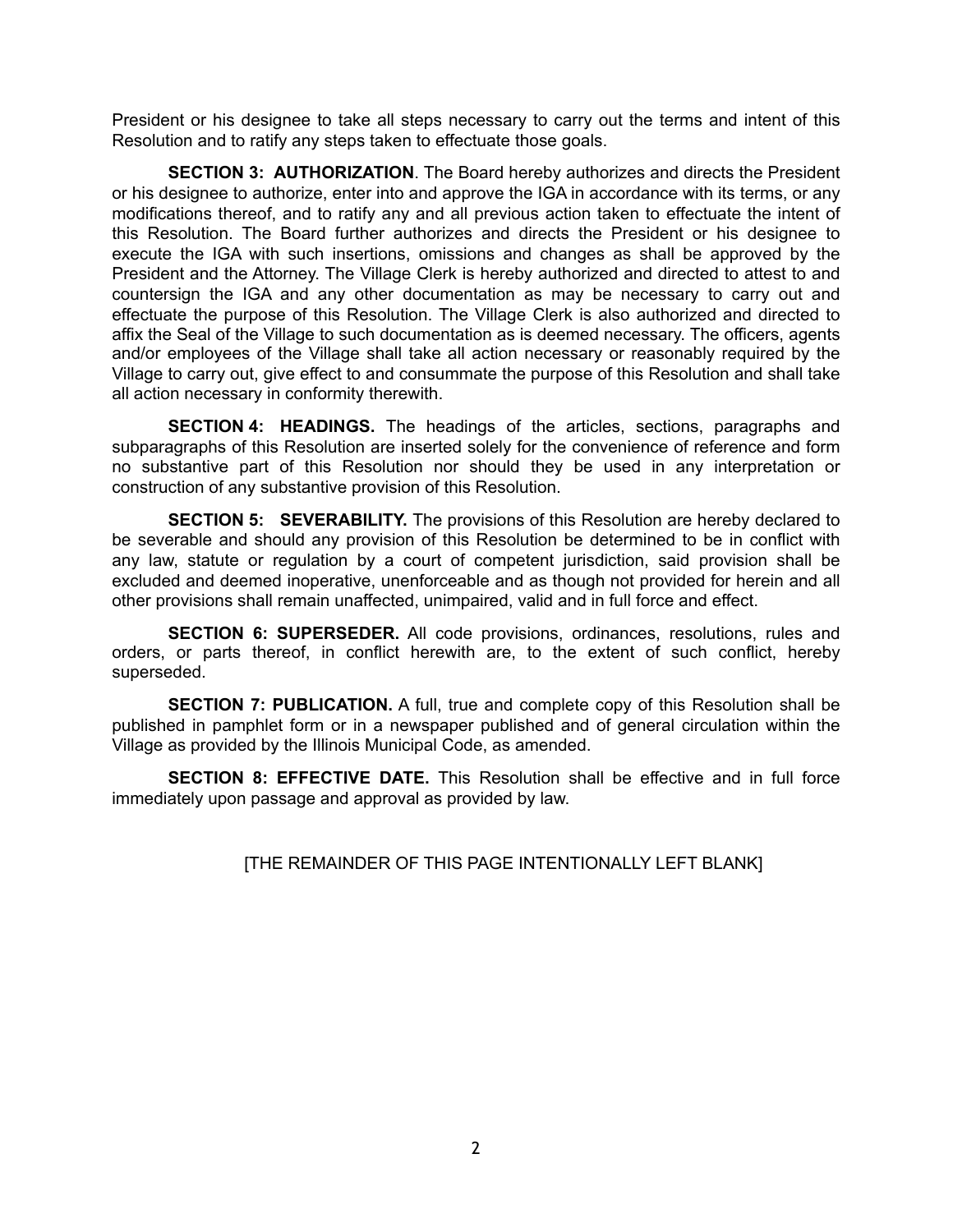President or his designee to take all steps necessary to carry out the terms and intent of this Resolution and to ratify any steps taken to effectuate those goals.

**SECTION 3: AUTHORIZATION**. The Board hereby authorizes and directs the President or his designee to authorize, enter into and approve the IGA in accordance with its terms, or any modifications thereof, and to ratify any and all previous action taken to effectuate the intent of this Resolution. The Board further authorizes and directs the President or his designee to execute the IGA with such insertions, omissions and changes as shall be approved by the President and the Attorney. The Village Clerk is hereby authorized and directed to attest to and countersign the IGA and any other documentation as may be necessary to carry out and effectuate the purpose of this Resolution. The Village Clerk is also authorized and directed to affix the Seal of the Village to such documentation as is deemed necessary. The officers, agents and/or employees of the Village shall take all action necessary or reasonably required by the Village to carry out, give effect to and consummate the purpose of this Resolution and shall take all action necessary in conformity therewith.

**SECTION 4: HEADINGS.** The headings of the articles, sections, paragraphs and subparagraphs of this Resolution are inserted solely for the convenience of reference and form no substantive part of this Resolution nor should they be used in any interpretation or construction of any substantive provision of this Resolution.

**SECTION 5: SEVERABILITY.** The provisions of this Resolution are hereby declared to be severable and should any provision of this Resolution be determined to be in conflict with any law, statute or regulation by a court of competent jurisdiction, said provision shall be excluded and deemed inoperative, unenforceable and as though not provided for herein and all other provisions shall remain unaffected, unimpaired, valid and in full force and effect.

**SECTION 6: SUPERSEDER.** All code provisions, ordinances, resolutions, rules and orders, or parts thereof, in conflict herewith are, to the extent of such conflict, hereby superseded.

**SECTION 7: PUBLICATION.** A full, true and complete copy of this Resolution shall be published in pamphlet form or in a newspaper published and of general circulation within the Village as provided by the Illinois Municipal Code, as amended.

**SECTION 8: EFFECTIVE DATE.** This Resolution shall be effective and in full force immediately upon passage and approval as provided by law.

[THE REMAINDER OF THIS PAGE INTENTIONALLY LEFT BLANK]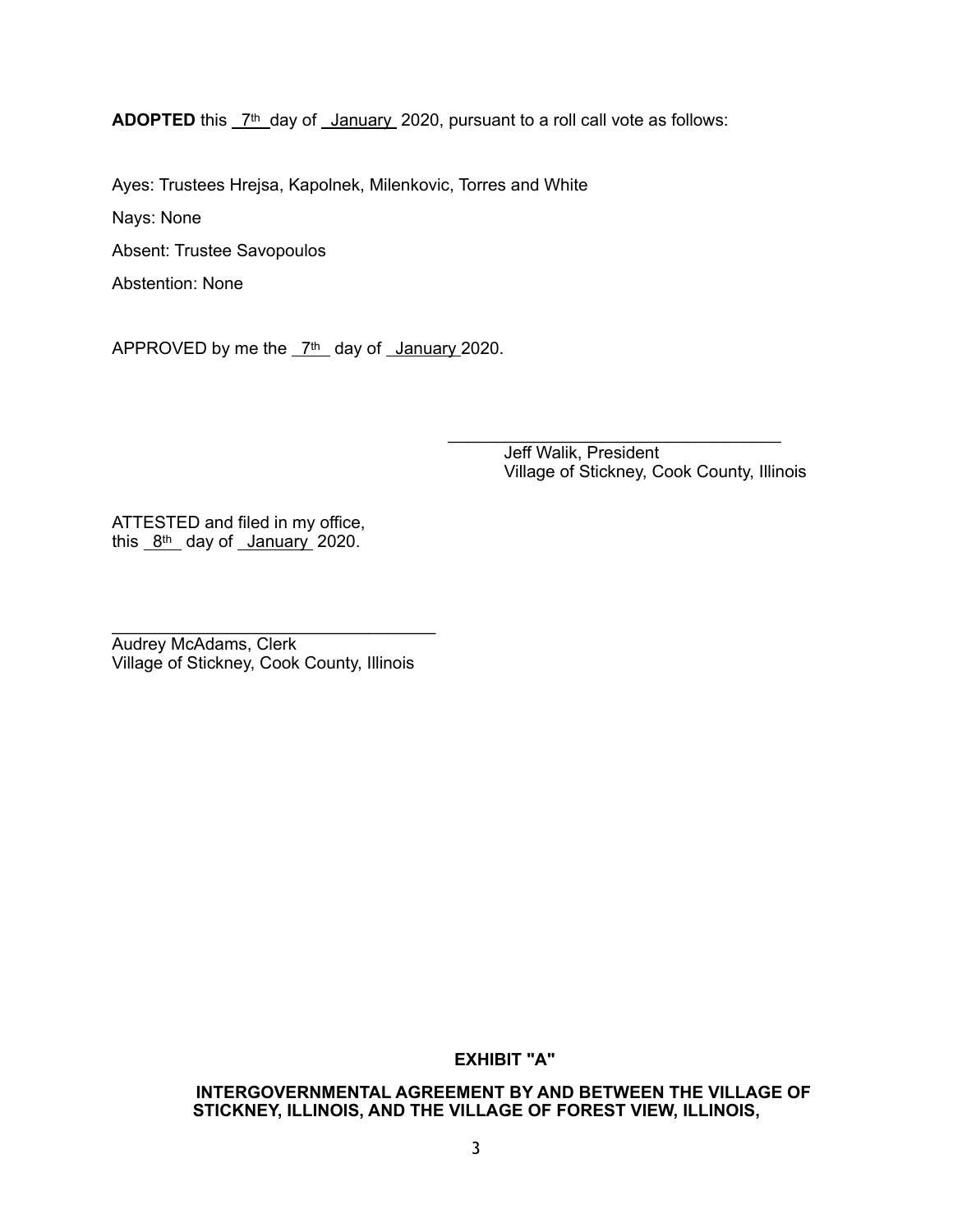**ADOPTED** this  $7th$  day of January 2020, pursuant to a roll call vote as follows:

Ayes: Trustees Hrejsa, Kapolnek, Milenkovic, Torres and White

Nays: None

Absent: Trustee Savopoulos

Abstention: None

APPROVED by me the  $7<sup>th</sup>$  day of January 2020.

 $\overline{\phantom{a}}$  ,  $\overline{\phantom{a}}$  ,  $\overline{\phantom{a}}$  ,  $\overline{\phantom{a}}$  ,  $\overline{\phantom{a}}$  ,  $\overline{\phantom{a}}$  ,  $\overline{\phantom{a}}$  ,  $\overline{\phantom{a}}$  ,  $\overline{\phantom{a}}$  ,  $\overline{\phantom{a}}$  ,  $\overline{\phantom{a}}$  ,  $\overline{\phantom{a}}$  ,  $\overline{\phantom{a}}$  ,  $\overline{\phantom{a}}$  ,  $\overline{\phantom{a}}$  ,  $\overline{\phantom{a}}$ Jeff Walik, President Village of Stickney, Cook County, Illinois

ATTESTED and filed in my office, this  $8t$ <sup>th</sup> day of January 2020.

 $\mathcal{L}_\text{max}$  , and the set of the set of the set of the set of the set of the set of the set of the set of the set of the set of the set of the set of the set of the set of the set of the set of the set of the set of the Audrey McAdams, Clerk Village of Stickney, Cook County, Illinois

**EXHIBIT "A"** 

**INTERGOVERNMENTAL AGREEMENT BY AND BETWEEN THE VILLAGE OF STICKNEY, ILLINOIS, AND THE VILLAGE OF FOREST VIEW, ILLINOIS,**